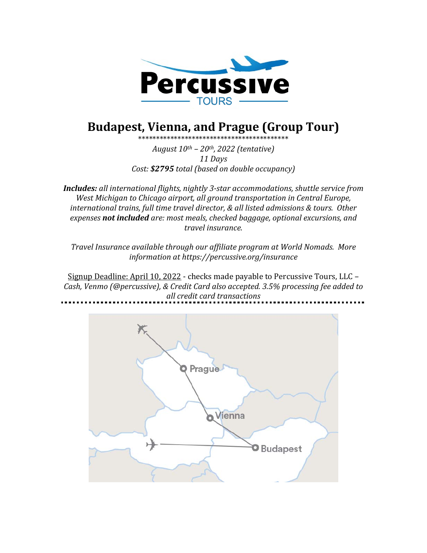

# **Budapest, Vienna, and Prague (Group Tour)**

\*\*\*\*\*\*\*\*\*\*\*\*\*\*\*\*\*\*\*\*\*\*\*\*\*\*\*\*\*\*\*\*\*\*\*\*\*\*\*\*\*\* *August 10th – 20th, 2022 (tentative) 11 Days*

*Cost:* \$2795 *total* (based on double occupancy)

**Includes:** all international flights, nightly 3-star accommodations, shuttle service from *West Michigan to Chicago airport, all ground transportation in Central Europe, international trains, full time travel director, & all listed admissions & tours. Other expenses not included are: most meals, checked baggage, optional excursions, and travel insurance.*

Travel Insurance available through our affiliate program at World Nomads. More *information at https://percussive.org/insurance*

Signup Deadline: April 10, 2022 - checks made payable to Percussive Tours, LLC -Cash, Venmo (@percussive), & Credit Card also accepted. 3.5% processing fee added to *all credit card transactions*

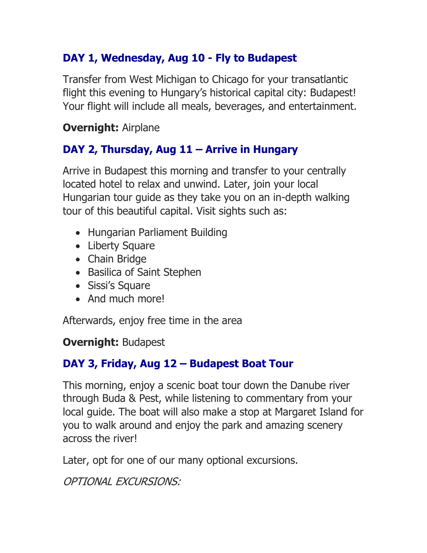# **DAY 1, Wednesday, Aug 10 - Fly to Budapest**

Transfer from West Michigan to Chicago for your transatlantic flight this evening to Hungary's historical capital city: Budapest! Your flight will include all meals, beverages, and entertainment.

#### **Overnight:** Airplane

### **DAY 2, Thursday, Aug 11 – Arrive in Hungary**

Arrive in Budapest this morning and transfer to your centrally located hotel to relax and unwind. Later, join your local Hungarian tour guide as they take you on an in-depth walking tour of this beautiful capital. Visit sights such as:

- Hungarian Parliament Building
- Liberty Square
- Chain Bridge
- Basilica of Saint Stephen
- Sissi's Square
- And much more!

Afterwards, enjoy free time in the area

#### **Overnight:** Budapest

### **DAY 3, Friday, Aug 12 – Budapest Boat Tour**

This morning, enjoy a scenic boat tour down the Danube river through Buda & Pest, while listening to commentary from your local guide. The boat will also make a stop at Margaret Island for you to walk around and enjoy the park and amazing scenery across the river!

Later, opt for one of our many optional excursions.

OPTIONAL EXCURSIONS: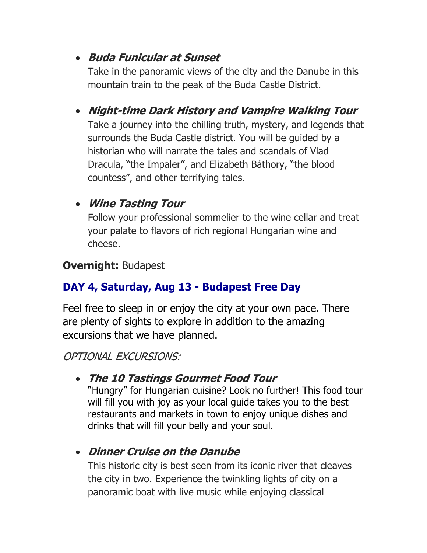#### • **Buda Funicular at Sunset**

Take in the panoramic views of the city and the Danube in this mountain train to the peak of the Buda Castle District.

• **Night-time Dark History and Vampire Walking Tour**  Take a journey into the chilling truth, mystery, and legends that surrounds the Buda Castle district. You will be guided by a historian who will narrate the tales and scandals of Vlad Dracula, "the Impaler", and Elizabeth Báthory, "the blood countess", and other terrifying tales.

# • **Wine Tasting Tour**

Follow your professional sommelier to the wine cellar and treat your palate to flavors of rich regional Hungarian wine and cheese.

### **Overnight:** Budapest

# **DAY 4, Saturday, Aug 13 - Budapest Free Day**

Feel free to sleep in or enjoy the city at your own pace. There are plenty of sights to explore in addition to the amazing excursions that we have planned.

OPTIONAL EXCURSIONS:

### • **The 10 Tastings Gourmet Food Tour**

"Hungry" for Hungarian cuisine? Look no further! This food tour will fill you with joy as your local guide takes you to the best restaurants and markets in town to enjoy unique dishes and drinks that will fill your belly and your soul.

# • **Dinner Cruise on the Danube**

This historic city is best seen from its iconic river that cleaves the city in two. Experience the twinkling lights of city on a panoramic boat with live music while enjoying classical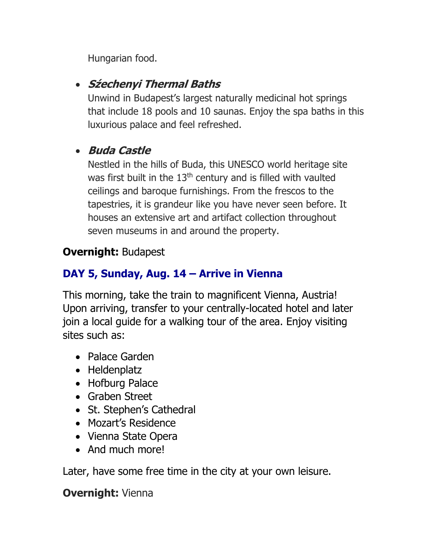Hungarian food.

### • **Sźechenyi Thermal Baths**

Unwind in Budapest's largest naturally medicinal hot springs that include 18 pools and 10 saunas. Enjoy the spa baths in this luxurious palace and feel refreshed.

#### • **Buda Castle**

Nestled in the hills of Buda, this UNESCO world heritage site was first built in the 13<sup>th</sup> century and is filled with vaulted ceilings and baroque furnishings. From the frescos to the tapestries, it is grandeur like you have never seen before. It houses an extensive art and artifact collection throughout seven museums in and around the property.

### **Overnight:** Budapest

# **DAY 5, Sunday, Aug. 14 – Arrive in Vienna**

This morning, take the train to magnificent Vienna, Austria! Upon arriving, transfer to your centrally-located hotel and later join a local guide for a walking tour of the area. Enjoy visiting sites such as:

- Palace Garden
- Heldenplatz
- Hofburg Palace
- Graben Street
- St. Stephen's Cathedral
- Mozart's Residence
- Vienna State Opera
- And much more!

Later, have some free time in the city at your own leisure.

#### **Overnight:** Vienna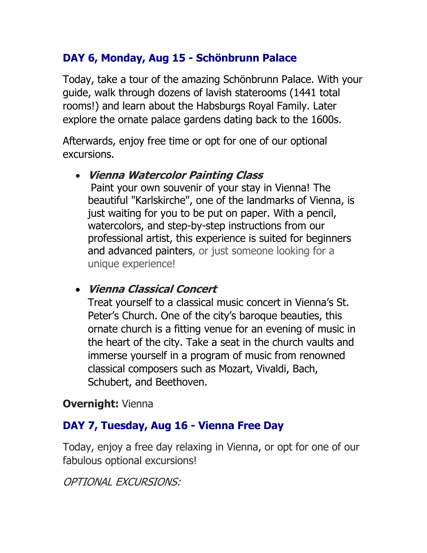# **DAY 6, Monday, Aug 15 - Schönbrunn Palace**

Today, take a tour of the amazing Schönbrunn Palace. With your guide, walk through dozens of lavish staterooms (1441 total rooms!) and learn about the Habsburgs Royal Family. Later explore the ornate palace gardens dating back to the 1600s.

Afterwards, enjoy free time or opt for one of our optional excursions.

#### • **Vienna Watercolor Painting Class**

Paint your own souvenir of your stay in Vienna! The beautiful "Karlskirche", one of the landmarks of Vienna, is just waiting for you to be put on paper. With a pencil, watercolors, and step-by-step instructions from our professional artist, this experience is suited for beginners and advanced painters, or just someone looking for a unique experience!

#### • **Vienna Classical Concert**

Treat yourself to a classical music concert in Vienna's St. Peter's Church. One of the city's baroque beauties, this ornate church is a fitting venue for an evening of music in the heart of the city. Take a seat in the church vaults and immerse yourself in a program of music from renowned classical composers such as Mozart, Vivaldi, Bach, Schubert, and Beethoven.

#### **Overnight:** Vienna

### **DAY 7, Tuesday, Aug 16 - Vienna Free Day**

Today, enjoy a free day relaxing in Vienna, or opt for one of our fabulous optional excursions!

OPTIONAL EXCURSIONS: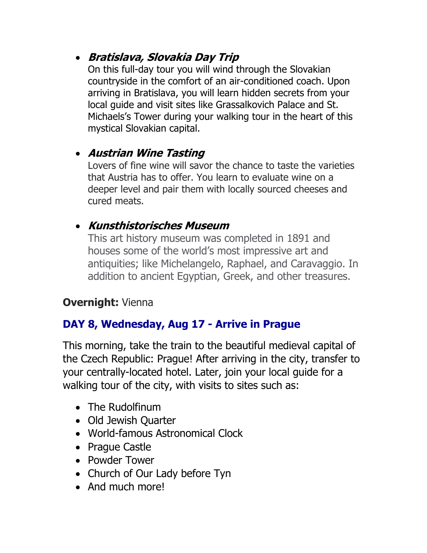### • **Bratislava, Slovakia Day Trip**

On this full-day tour you will wind through the Slovakian countryside in the comfort of an air-conditioned coach. Upon arriving in Bratislava, you will learn hidden secrets from your local guide and visit sites like Grassalkovich Palace and St. Michaels's Tower during your walking tour in the heart of this mystical Slovakian capital.

### • **Austrian Wine Tasting**

Lovers of fine wine will savor the chance to taste the varieties that Austria has to offer. You learn to evaluate wine on a deeper level and pair them with locally sourced cheeses and cured meats.

### • **Kunsthistorisches Museum**

This art history museum was completed in 1891 and houses some of the world's most impressive art and antiquities; like Michelangelo, Raphael, and Caravaggio. In addition to ancient Egyptian, Greek, and other treasures.

### **Overnight:** Vienna

### **DAY 8, Wednesday, Aug 17 - Arrive in Prague**

This morning, take the train to the beautiful medieval capital of the Czech Republic: Prague! After arriving in the city, transfer to your centrally-located hotel. Later, join your local guide for a walking tour of the city, with visits to sites such as:

- The Rudolfinum
- Old Jewish Quarter
- World-famous Astronomical Clock
- Prague Castle
- Powder Tower
- Church of Our Lady before Tyn
- And much morel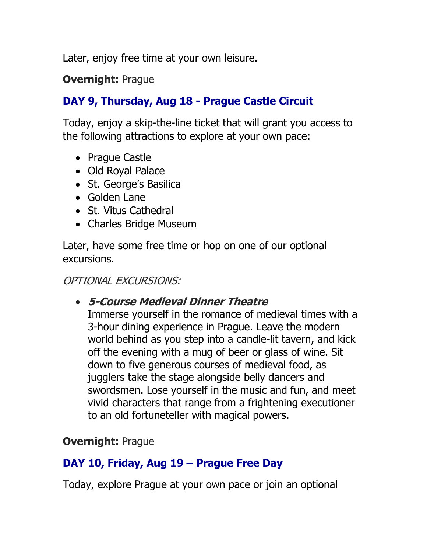Later, enjoy free time at your own leisure.

#### **Overnight: Prague**

### **DAY 9, Thursday, Aug 18 - Prague Castle Circuit**

Today, enjoy a skip-the-line ticket that will grant you access to the following attractions to explore at your own pace:

- Prague Castle
- Old Royal Palace
- St. George's Basilica
- Golden Lane
- St. Vitus Cathedral
- Charles Bridge Museum

Later, have some free time or hop on one of our optional excursions.

#### OPTIONAL EXCURSIONS:

#### • **5-Course Medieval Dinner Theatre**

Immerse yourself in the romance of medieval times with a 3-hour dining experience in Prague. Leave the modern world behind as you step into a candle-lit tavern, and kick off the evening with a mug of beer or glass of wine. Sit down to five generous courses of medieval food, as jugglers take the stage alongside belly dancers and swordsmen. Lose yourself in the music and fun, and meet vivid characters that range from a frightening executioner to an old fortuneteller with magical powers.

#### **Overnight: Prague**

#### **DAY 10, Friday, Aug 19 – Prague Free Day**

Today, explore Prague at your own pace or join an optional